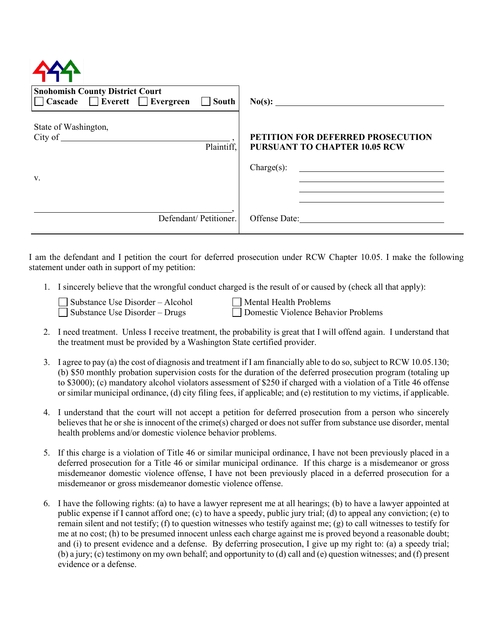| <b>Snohomish County District Court</b><br>$\Box$ Cascade $\Box$ Everett $\Box$ Evergreen<br>$\Box$ South |                                                                                                          |
|----------------------------------------------------------------------------------------------------------|----------------------------------------------------------------------------------------------------------|
| State of Washington,<br>City of<br>Plaintiff,<br>V.                                                      | <b>PETITION FOR DEFERRED PROSECUTION</b><br><b>PURSUANT TO CHAPTER 10.05 RCW</b><br>$\text{Change}(s)$ : |
| Defendant/ Petitioner.                                                                                   | Offense Date:                                                                                            |

I am the defendant and I petition the court for deferred prosecution under RCW Chapter 10.05. I make the following statement under oath in support of my petition:

1. I sincerely believe that the wrongful conduct charged is the result of or caused by (check all that apply):

| Substance Use Disorder – Alcohol | Mental Health Problems              |
|----------------------------------|-------------------------------------|
| Substance Use Disorder – Drugs   | Domestic Violence Behavior Problems |

- 
- 2. I need treatment. Unless I receive treatment, the probability is great that I will offend again. I understand that the treatment must be provided by a Washington State certified provider.
- 3. I agree to pay (a) the cost of diagnosis and treatment if I am financially able to do so, subject to RCW 10.05.130; (b) \$50 monthly probation supervision costs for the duration of the deferred prosecution program (totaling up to \$3000); (c) mandatory alcohol violators assessment of \$250 if charged with a violation of a Title 46 offense or similar municipal ordinance, (d) city filing fees, if applicable; and (e) restitution to my victims, if applicable.
- 4. I understand that the court will not accept a petition for deferred prosecution from a person who sincerely believes that he or she is innocent of the crime(s) charged or does not suffer from substance use disorder, mental health problems and/or domestic violence behavior problems.
- 5. If this charge is a violation of Title 46 or similar municipal ordinance, I have not been previously placed in a deferred prosecution for a Title 46 or similar municipal ordinance. If this charge is a misdemeanor or gross misdemeanor domestic violence offense, I have not been previously placed in a deferred prosecution for a misdemeanor or gross misdemeanor domestic violence offense.
- 6. I have the following rights: (a) to have a lawyer represent me at all hearings; (b) to have a lawyer appointed at public expense if I cannot afford one; (c) to have a speedy, public jury trial; (d) to appeal any conviction; (e) to remain silent and not testify; (f) to question witnesses who testify against me; (g) to call witnesses to testify for me at no cost; (h) to be presumed innocent unless each charge against me is proved beyond a reasonable doubt; and (i) to present evidence and a defense. By deferring prosecution, I give up my right to: (a) a speedy trial; (b) a jury; (c) testimony on my own behalf; and opportunity to (d) call and (e) question witnesses; and (f) present evidence or a defense.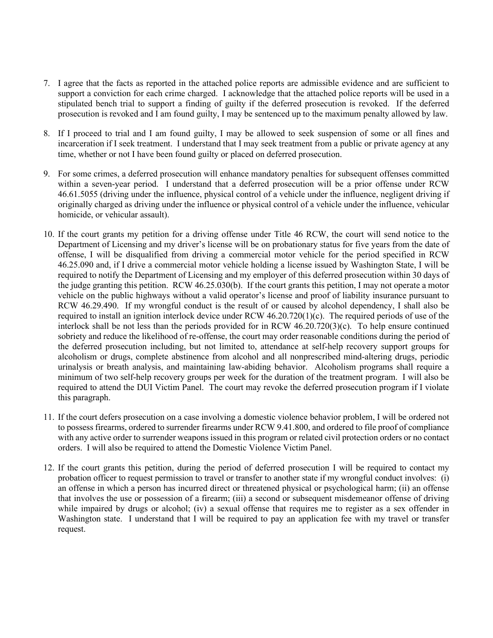- 7. I agree that the facts as reported in the attached police reports are admissible evidence and are sufficient to support a conviction for each crime charged. I acknowledge that the attached police reports will be used in a stipulated bench trial to support a finding of guilty if the deferred prosecution is revoked. If the deferred prosecution is revoked and I am found guilty, I may be sentenced up to the maximum penalty allowed by law.
- 8. If I proceed to trial and I am found guilty, I may be allowed to seek suspension of some or all fines and incarceration if I seek treatment. I understand that I may seek treatment from a public or private agency at any time, whether or not I have been found guilty or placed on deferred prosecution.
- 9. For some crimes, a deferred prosecution will enhance mandatory penalties for subsequent offenses committed within a seven-year period. I understand that a deferred prosecution will be a prior offense under RCW 46.61.5055 (driving under the influence, physical control of a vehicle under the influence, negligent driving if originally charged as driving under the influence or physical control of a vehicle under the influence, vehicular homicide, or vehicular assault).
- 10. If the court grants my petition for a driving offense under Title 46 RCW, the court will send notice to the Department of Licensing and my driver's license will be on probationary status for five years from the date of offense, I will be disqualified from driving a commercial motor vehicle for the period specified in RCW 46.25.090 and, if I drive a commercial motor vehicle holding a license issued by Washington State, I will be required to notify the Department of Licensing and my employer of this deferred prosecution within 30 days of the judge granting this petition. RCW 46.25.030(b). If the court grants this petition, I may not operate a motor vehicle on the public highways without a valid operator's license and proof of liability insurance pursuant to RCW 46.29.490. If my wrongful conduct is the result of or caused by alcohol dependency, I shall also be required to install an ignition interlock device under RCW 46.20.720(1)(c). The required periods of use of the interlock shall be not less than the periods provided for in RCW 46.20.720(3)(c). To help ensure continued sobriety and reduce the likelihood of re-offense, the court may order reasonable conditions during the period of the deferred prosecution including, but not limited to, attendance at self-help recovery support groups for alcoholism or drugs, complete abstinence from alcohol and all nonprescribed mind-altering drugs, periodic urinalysis or breath analysis, and maintaining law-abiding behavior. Alcoholism programs shall require a minimum of two self-help recovery groups per week for the duration of the treatment program. I will also be required to attend the DUI Victim Panel. The court may revoke the deferred prosecution program if I violate this paragraph.
- 11. If the court defers prosecution on a case involving a domestic violence behavior problem, I will be ordered not to possess firearms, ordered to surrender firearms under RCW 9.41.800, and ordered to file proof of compliance with any active order to surrender weapons issued in this program or related civil protection orders or no contact orders. I will also be required to attend the Domestic Violence Victim Panel.
- 12. If the court grants this petition, during the period of deferred prosecution I will be required to contact my probation officer to request permission to travel or transfer to another state if my wrongful conduct involves: (i) an offense in which a person has incurred direct or threatened physical or psychological harm; (ii) an offense that involves the use or possession of a firearm; (iii) a second or subsequent misdemeanor offense of driving while impaired by drugs or alcohol; (iv) a sexual offense that requires me to register as a sex offender in Washington state. I understand that I will be required to pay an application fee with my travel or transfer request.